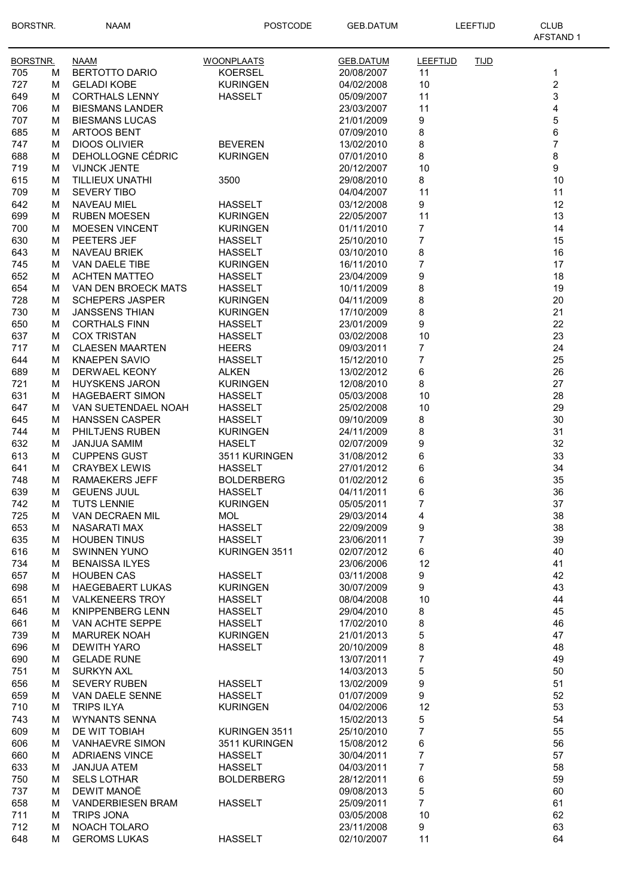| <b>BORSTNR.</b> |        | <b>NAAM</b>                                    | <b>POSTCODE</b>                   | <b>GEB.DATUM</b>         | LEEFTIJD       |             | <b>CLUB</b><br><b>AFSTAND1</b> |
|-----------------|--------|------------------------------------------------|-----------------------------------|--------------------------|----------------|-------------|--------------------------------|
| BORSTNR.        |        | <b>NAAM</b>                                    | <b>WOONPLAATS</b>                 | <b>GEB.DATUM</b>         | LEEFTIJD       | <b>TIJD</b> |                                |
| 705             | м      | <b>BERTOTTO DARIO</b>                          | <b>KOERSEL</b>                    | 20/08/2007               | 11             |             | 1                              |
| 727             | M      | <b>GELADI KOBE</b>                             | <b>KURINGEN</b>                   | 04/02/2008               | 10             |             | $\overline{c}$                 |
| 649             | M      | <b>CORTHALS LENNY</b>                          | <b>HASSELT</b>                    | 05/09/2007               | 11             |             | 3                              |
| 706             | M      | <b>BIESMANS LANDER</b>                         |                                   | 23/03/2007               | 11             |             | 4                              |
| 707             | М      | <b>BIESMANS LUCAS</b>                          |                                   | 21/01/2009               | 9              |             | 5                              |
| 685             | М      | <b>ARTOOS BENT</b>                             |                                   | 07/09/2010               | 8              |             | 6                              |
| 747             | м      | <b>DIOOS OLIVIER</b>                           | <b>BEVEREN</b>                    | 13/02/2010               | 8              |             | $\overline{7}$                 |
| 688             | м      | DEHOLLOGNE CÉDRIC<br><b>VIJNCK JENTE</b>       | <b>KURINGEN</b>                   | 07/01/2010               | 8              |             | 8<br>9                         |
| 719<br>615      | м<br>М | TILLIEUX UNATHI                                | 3500                              | 20/12/2007<br>29/08/2010 | 10<br>8        |             | 10                             |
| 709             | м      | <b>SEVERY TIBO</b>                             |                                   | 04/04/2007               | 11             |             | 11                             |
| 642             | M      | NAVEAU MIEL                                    | <b>HASSELT</b>                    | 03/12/2008               | 9              |             | 12                             |
| 699             | M      | <b>RUBEN MOESEN</b>                            | <b>KURINGEN</b>                   | 22/05/2007               | 11             |             | 13                             |
| 700             | м      | <b>MOESEN VINCENT</b>                          | <b>KURINGEN</b>                   | 01/11/2010               | $\overline{7}$ |             | 14                             |
| 630             | м      | PEETERS JEF                                    | <b>HASSELT</b>                    | 25/10/2010               | 7              |             | 15                             |
| 643             | М      | <b>NAVEAU BRIEK</b>                            | <b>HASSELT</b>                    | 03/10/2010               | 8              |             | 16                             |
| 745             | м      | <b>VAN DAELE TIBE</b>                          | <b>KURINGEN</b>                   | 16/11/2010               | 7              |             | 17                             |
| 652             | M      | <b>ACHTEN MATTEO</b>                           | <b>HASSELT</b>                    | 23/04/2009               | 9              |             | 18                             |
| 654             | м      | VAN DEN BROECK MATS                            | <b>HASSELT</b>                    | 10/11/2009               | 8              |             | 19                             |
| 728             | м      | <b>SCHEPERS JASPER</b>                         | <b>KURINGEN</b>                   | 04/11/2009               | 8              |             | 20                             |
| 730             | М      | <b>JANSSENS THIAN</b>                          | <b>KURINGEN</b>                   | 17/10/2009               | 8              |             | 21                             |
| 650             | м      | <b>CORTHALS FINN</b>                           | <b>HASSELT</b>                    | 23/01/2009               | 9              |             | 22                             |
| 637             | м      | <b>COX TRISTAN</b>                             | <b>HASSELT</b>                    | 03/02/2008               | 10             |             | 23                             |
| 717<br>644      | м<br>м | <b>CLAESEN MAARTEN</b><br><b>KNAEPEN SAVIO</b> | <b>HEERS</b><br><b>HASSELT</b>    | 09/03/2011<br>15/12/2010 | 7<br>7         |             | 24<br>25                       |
| 689             | м      | DERWAEL KEONY                                  | <b>ALKEN</b>                      | 13/02/2012               | 6              |             | 26                             |
| 721             | м      | <b>HUYSKENS JARON</b>                          | <b>KURINGEN</b>                   | 12/08/2010               | 8              |             | 27                             |
| 631             | м      | <b>HAGEBAERT SIMON</b>                         | <b>HASSELT</b>                    | 05/03/2008               | 10             |             | 28                             |
| 647             | M      | VAN SUETENDAEL NOAH                            | <b>HASSELT</b>                    | 25/02/2008               | 10             |             | 29                             |
| 645             | M      | <b>HANSSEN CASPER</b>                          | <b>HASSELT</b>                    | 09/10/2009               | 8              |             | 30                             |
| 744             | м      | PHILTJENS RUBEN                                | <b>KURINGEN</b>                   | 24/11/2009               | 8              |             | 31                             |
| 632             | M      | JANJUA SAMIM                                   | <b>HASELT</b>                     | 02/07/2009               | 9              |             | 32                             |
| 613             | М      | <b>CUPPENS GUST</b>                            | 3511 KURINGEN                     | 31/08/2012               | 6              |             | 33                             |
| 641             | M      | <b>CRAYBEX LEWIS</b>                           | <b>HASSELT</b>                    | 27/01/2012               | 6              |             | 34                             |
| 748             | М      | <b>RAMAEKERS JEFF</b>                          | <b>BOLDERBERG</b>                 | 01/02/2012               | 6              |             | 35                             |
| 639             | М      | <b>GEUENS JUUL</b>                             | <b>HASSELT</b>                    | 04/11/2011               | 6              |             | 36                             |
| 742             | М      | <b>TUTS LENNIE</b>                             | <b>KURINGEN</b>                   | 05/05/2011               | 7              |             | 37                             |
| 725             | М      | VAN DECRAEN MIL                                | <b>MOL</b>                        | 29/03/2014               | 4              |             | 38                             |
| 653             | м<br>М | <b>NASARATI MAX</b>                            | <b>HASSELT</b><br><b>HASSELT</b>  | 22/09/2009               | 9<br>7         |             | 38<br>39                       |
| 635<br>616      | М      | <b>HOUBEN TINUS</b><br><b>SWINNEN YUNO</b>     | KURINGEN 3511                     | 23/06/2011<br>02/07/2012 | 6              |             | 40                             |
| 734             | M      | <b>BENAISSA ILYES</b>                          |                                   | 23/06/2006               | 12             |             | 41                             |
| 657             | M      | <b>HOUBEN CAS</b>                              | <b>HASSELT</b>                    | 03/11/2008               | 9              |             | 42                             |
| 698             | М      | <b>HAEGEBAERT LUKAS</b>                        | <b>KURINGEN</b>                   | 30/07/2009               | 9              |             | 43                             |
| 651             | М      | <b>VALKENEERS TROY</b>                         | <b>HASSELT</b>                    | 08/04/2008               | 10             |             | 44                             |
| 646             | М      | <b>KNIPPENBERG LENN</b>                        | <b>HASSELT</b>                    | 29/04/2010               | 8              |             | 45                             |
| 661             | м      | VAN ACHTE SEPPE                                | <b>HASSELT</b>                    | 17/02/2010               | 8              |             | 46                             |
| 739             | м      | <b>MARUREK NOAH</b>                            | <b>KURINGEN</b>                   | 21/01/2013               | 5              |             | 47                             |
| 696             | м      | <b>DEWITH YARO</b>                             | <b>HASSELT</b>                    | 20/10/2009               | 8              |             | 48                             |
| 690             | М      | <b>GELADE RUNE</b>                             |                                   | 13/07/2011               | 7              |             | 49                             |
| 751             | м      | <b>SURKYN AXL</b>                              |                                   | 14/03/2013               | 5              |             | 50                             |
| 656             | М      | <b>SEVERY RUBEN</b>                            | <b>HASSELT</b>                    | 13/02/2009               | 9              |             | 51                             |
| 659<br>710      | М<br>М | VAN DAELE SENNE<br><b>TRIPS ILYA</b>           | <b>HASSELT</b><br><b>KURINGEN</b> | 01/07/2009<br>04/02/2006 | 9<br>12        |             | 52<br>53                       |
| 743             | М      | <b>WYNANTS SENNA</b>                           |                                   | 15/02/2013               | 5              |             | 54                             |
| 609             | М      | DE WIT TOBIAH                                  | KURINGEN 3511                     | 25/10/2010               | 7              |             | 55                             |
| 606             | м      | <b>VANHAEVRE SIMON</b>                         | 3511 KURINGEN                     | 15/08/2012               | 6              |             | 56                             |
| 660             | M      | <b>ADRIAENS VINCE</b>                          | <b>HASSELT</b>                    | 30/04/2011               | $\overline{7}$ |             | 57                             |
| 633             | M      | <b>JANJUA ATEM</b>                             | <b>HASSELT</b>                    | 04/03/2011               | $\overline{7}$ |             | 58                             |
| 750             | М      | <b>SELS LOTHAR</b>                             | <b>BOLDERBERG</b>                 | 28/12/2011               | 6              |             | 59                             |
| 737             | M      | DEWIT MANOË                                    |                                   | 09/08/2013               | 5              |             | 60                             |
| 658             | М      | <b>VANDERBIESEN BRAM</b>                       | <b>HASSELT</b>                    | 25/09/2011               | 7              |             | 61                             |
| 711             | м      | <b>TRIPS JONA</b>                              |                                   | 03/05/2008               | 10             |             | 62                             |
| 712             | М      | NOACH TOLARO                                   |                                   | 23/11/2008               | 9              |             | 63                             |
| 648             | М      | <b>GEROMS LUKAS</b>                            | <b>HASSELT</b>                    | 02/10/2007               | 11             |             | 64                             |